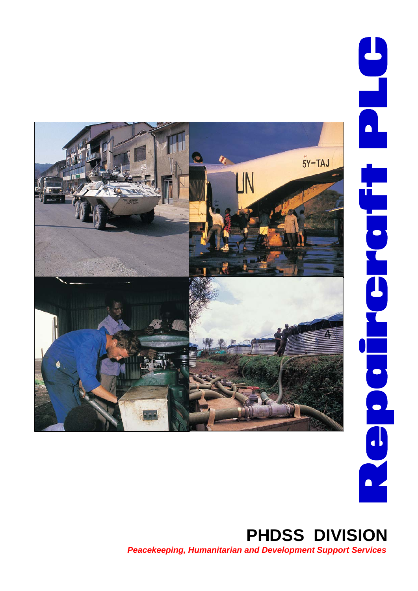

# *Peacekeeping, Humanitarian and Development Support Services*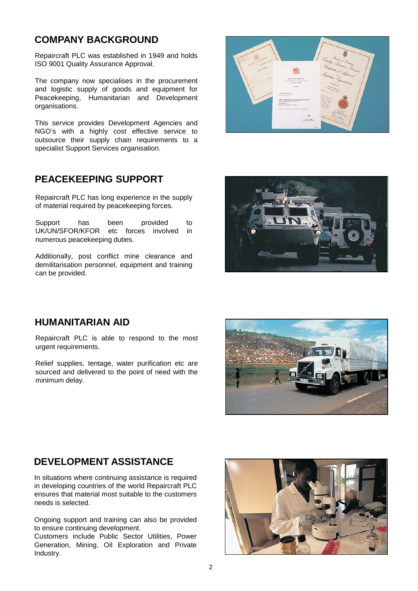### **COMPANY BACKGROUND**

Repaircraft PLC was established in 1949 and holds ISO 9001 Quality Assurance Approval.

The company now specialises in the procurement and logistic supply of goods and equipment for Peacekeeping, Humanitarian and Development organisations.

This service provides Development Agencies and NGO's with a highly cost effective service to outsource their supply chain requirements to a specialist Support Services organisation.

### **PEACEKEEPING SUPPORT**

Repaircraft PLC has long experience in the supply of material required by peacekeeping forces.

Support has been provided to UK/UN/SFOR/KFOR etc forces involved in numerous peacekeeping duties.

Additionally, post conflict mine clearance and demilitarisation personnel, equipment and training can be provided.





### **HUMANITARIAN AID**

Repaircraft PLC is able to respond to the most urgent requirements.

Relief supplies, tentage, water purification etc are sourced and delivered to the point of need with the minimum delay.



### **DEVELOPMENT ASSISTANCE**

In situations where continuing assistance is required in developing countries of the world Repaircraft PLC ensures that material most suitable to the customers needs is selected.

Ongoing support and training can also be provided to ensure continuing development.

Customers include Public Sector Utilities, Power Generation, Mining, Oil Exploration and Private Industry.

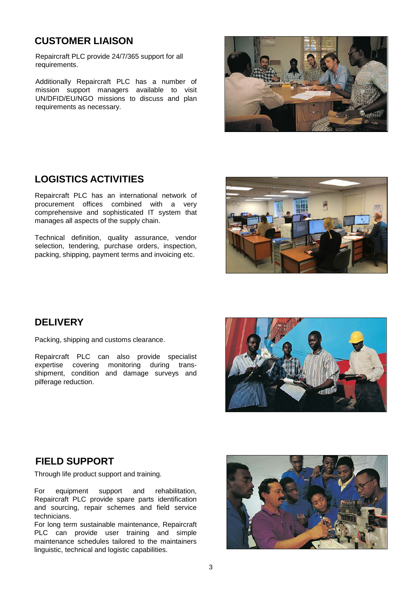### **CUSTOMER LIAISON**

Repaircraft PLC provide 24/7/365 support for all requirements.

Additionally Repaircraft PLC has a number of mission support managers available to visit UN/DFID/EU/NGO missions to discuss and plan requirements as necessary.

### **LOGISTICS ACTIVITIES**

Repaircraft PLC has an international network of procurement offices combined with a very comprehensive and sophisticated IT system that manages all aspects of the supply chain.

Technical definition, quality assurance, vendor selection, tendering, purchase orders, inspection, packing, shipping, payment terms and invoicing etc.



### **DELIVERY**

Packing, shipping and customs clearance.

Repaircraft PLC can also provide specialist expertise covering monitoring during transshipment, condition and damage surveys and pilferage reduction.



### **FIELD SUPPORT**

Through life product support and training.

For equipment support and rehabilitation, Repaircraft PLC provide spare parts identification and sourcing, repair schemes and field service technicians.

For long term sustainable maintenance, Repaircraft PLC can provide user training and simple maintenance schedules tailored to the maintainers linguistic, technical and logistic capabilities.